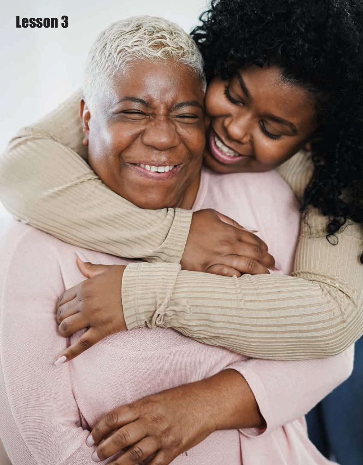# Lesson 3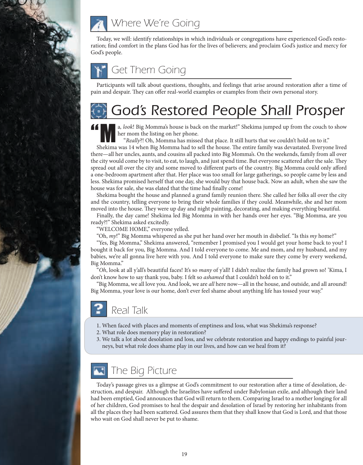

Today, we will: identify relationships in which individuals or congregations have experienced God's restoration; find comfort in the plans God has for the lives of believers; and proclaim God's justice and mercy for God's people.

### *Get Them Going*

Participants will talk about questions, thoughts, and feelings that arise around restoration after a time of pain and despair. They can offer real-world examples or examples from their own personal story.

# *God's Restored People Shall Prosper*

a, look! Big Momma's house is back on the market!" Shekima jumped up from the couch to show her mom the listing on her phone.

"*Really*?! Oh, Momma has missed that place. It still hurts that we couldn't hold on to it."

Shekima was 14 when Big Momma had to sell the house. The entire family was devastated. Everyone lived there—all her uncles, aunts, and cousins all packed into Big Momma's. On the weekends, family from all over the city would come by to visit, to eat, to laugh, and just spend time. But everyone scattered after the sale. They spread out all over the city and some moved to different parts of the country. Big Momma could only afford a one-bedroom apartment after that. Her place was too small for large gatherings, so people came by less and less. Shekima promised herself that one day, she would buy that house back. Now an adult, when she saw the house was for sale, she was elated that the time had finally come!

Shekima bought the house and planned a grand family reunion there. She called her folks all over the city and the country, telling everyone to bring their whole families if they could. Meanwhile, she and her mom moved into the house. They were up day and night painting, decorating, and making everything beautiful.

Finally, the day came! Shekima led Big Momma in with her hands over her eyes. "Big Momma, are you ready?!" Shekima asked excitedly.

"WELCOME HOME," everyone yelled.

"Oh, *my*!" Big Momma whispered as she put her hand over her mouth in disbelief. "Is this *my* home?"

"Yes, Big Momma," Shekima answered, "remember I promised you I would get your home back to you? I bought it back for you, Big Momma. And I told everyone to come. Me and mom, and my husband, and my babies, we're all gonna live here with you. And I told everyone to make sure they come by every weekend, Big Momma."

"*Oh*, look at all y'all's beautiful faces! It's so *many* of y'all! I didn't realize the family had grown so! 'Kima, I don't know how to say thank you, baby. I felt so *ashamed* that I couldn't hold on to it."

"Big Momma, we all love you. And look, we are *all* here now—all in the house, and outside, and all around! Big Momma, your love is our home, don't ever feel shame about anything life has tossed your way."



- 1. When faced with places and moments of emptiness and loss, what was Shekima's response?
- 2. What role does memory play in restoration?
- 3. We talk a lot about desolation and loss, and we celebrate restoration and happy endings to painful journeys, but what role does shame play in our lives, and how can we heal from it?

## *The Big Picture*

Today's passage gives us a glimpse at God's commitment to our restoration after a time of desolation, destruction, and despair. Although the Israelites have suffered under Babylonian exile, and although their land had been emptied, God announces that God will return to them. Comparing Israel to a mother longing for all of her children, God promises to heal the despair and desolation of Israel by restoring her inhabitants from all the places they had been scattered. God assures them that they shall know that God is Lord, and that those who wait on God shall never be put to shame.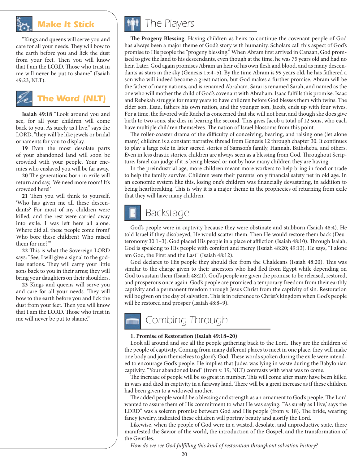

"Kings and queens will serve you and care for all your needs. They will bow to the earth before you and lick the dust from your feet. Then you will know that I am the LORD. Those who trust in me will never be put to shame" (Isaiah 49:23, NLT).



**Isaiah 49**:**18** "Look around you and see, for all your children will come back to you. As surely as I live," says the LORD, "they will be like jewels or bridal ornaments for you to display.

**19** Even the most desolate parts of your abandoned land will soon be crowded with your people. Your enemies who enslaved you will be far away.

**20** The generations born in exile will return and say, 'We need more room! It's crowded here!'

**21** Then you will think to yourself, 'Who has given me all these descendants? For most of my children were killed, and the rest were carried away into exile. I was left here all alone. Where did all these people come from? Who bore these children? Who raised them for me?'"

**22** This is what the Sovereign LORD says: "See, I will give a signal to the godless nations. They will carry your little sons back to you in their arms; they will bring your daughters on their shoulders.

**23** Kings and queens will serve you and care for all your needs. They will bow to the earth before you and lick the dust from your feet. Then you will know that I am the LORD. Those who trust in me will never be put to shame."

### **Make It Stick Fight** The Players

**The Progeny Blessing.** Having children as heirs to continue the covenant people of God has always been a major theme of God's story with humanity. Scholars call this aspect of God's promise to His people the "progeny blessing." When Abram first arrived in Canaan, God promised to give the land to his descendants, even though at the time, he was 75 years old and had no heir. Later, God again promises Abram an heir of his own flesh and blood, and as many descendants as stars in the sky (Genesis 15:4–5). By the time Abram is 99 years old, he has fathered a son who will indeed become a great nation, but God makes a further promise. Abram will be the father of many nations, and is renamed Abraham. Sarai is renamed Sarah, and named as the one who will mother the child of God's covenant with Abraham. Isaac fulfills this promise. Isaac and Rebekah struggle for many years to have children before God blesses them with twins. The elder son, Esau, fathers his own nation, and the younger son, Jacob, ends up with four wives. For a time, the favored wife Rachel is concerned that she will not bear, and though she does give birth to two sons, she dies in bearing the second. This gives Jacob a total of 12 sons, who each have multiple children themselves. The nation of Israel blossoms from this point.

The roller-coaster drama of the difficulty of conceiving, bearing, and raising one (let alone many) children is a constant narrative thread from Genesis 12 through chapter 30. It continues to play a large role in later sacred stories of Samson's family, Hannah, Bathsheba, and others. Even in less drastic stories, children are always seen as a blessing from God. Throughout Scripture, Israel can judge if it is being blessed or not by how many children they are having.

In the preindustrial age, more children meant more workers to help bring in food or trade to help the family survive. Children were their parents' only financial safety net in old age. In an economic system like this, losing one's children was financially devastating, in addition to being heartbreaking. This is why it is a major theme in the prophecies of returning from exile that they will have many children.

## *Backstage*

God's people were in captivity because they were obstinate and stubborn (Isaiah 48:4). He told Israel if they disobeyed, He would scatter them. Then He would restore them back (Deuteronomy 30:1–3). God placed His people in a place of affliction (Isaiah 48:10). Through Isaiah, God is speaking to His people with comfort and mercy (Isaiah 48:20; 49:13). He says, "I alone am God, the First and the Last" (Isaiah 48:12).

God declares to His people they should flee from the Chaldeans (Isaiah 48:20). This was similar to the charge given to their ancestors who had fled from Egypt while depending on God to sustain them (Isaiah 48:21). God's people are given the promise to be released, restored, and prosperous once again. God's people are promised a temporary freedom from their earthly captivity and a permanent freedom through Jesus Christ from the captivity of sin. Restoration will be given on the day of salvation. This is in reference to Christ's kingdom when God's people will be restored and prosper (Isaiah 48:8–9).

## *Combing Through*

#### **1. Promise of Restoration (Isaiah 49:18–20)**

Look all around and see all the people gathering back to the Lord. They are the children of the people of captivity. Coming from many different places to meet in one place, they will make one body and join themselves to glorify God. These words spoken during the exile were intended to encourage God's people. He implies that Judea was lying in waste during the Babylonian captivity. "Your abandoned land" (from v. 19, NLT) contrasts with what was to come.

The increase of people will be so great in number. This will come after many have been killed in wars and died in captivity in a faraway land. There will be a great increase as if these children had been given to a widowed mother.

The added people would be a blessing and strength as an ornament to God's people. The Lord wanted to assure them of His commitment to what He was saying. "'As surely as I live,' says the LORD" was a solemn promise between God and His people (from v. 18). The bride, wearing fancy jewelry, indicated these children will portray beauty and glorify the Lord.

Likewise, when the people of God were in a wasted, desolate, and unproductive state, there manifested the Savior of the world, the introduction of the Gospel, and the transformation of the Gentiles.

*How do we see God fulfilling this kind of restoration throughout salvation history?*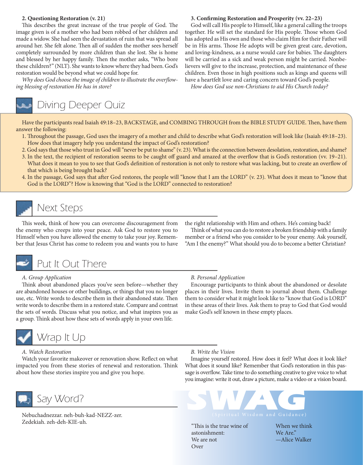#### **2. Questioning Restoration (v. 21)**

This describes the great increase of the true people of God. The image given is of a mother who had been robbed of her children and made a widow. She had seen the devastation of ruin that was spread all around her. She felt alone. Then all of sudden the mother sees herself completely surrounded by more children than she lost. She is home and blessed by her happy family. Then the mother asks, "Who bore these children?" (NLT). She wants to know where they had been. God's restoration would be beyond what we could hope for.

*Why does God choose the image of children to illustrate the overflowing blessing of restoration He has in store?*

#### **3. Confirming Restoration and Prosperity (vv. 22–23)**

God will call His people to Himself, like a general calling the troops together. He will set the standard for His people. Those whom God has adopted as His own and those who claim Him for their Father will be in His arms. Those He adopts will be given great care, devotion, and loving-kindness, as a nurse would care for babies. The daughters will be carried as a sick and weak person might be carried. Nonbelievers will give to the increase, protection, and maintenance of these children. Even those in high positions such as kings and queens will have a heartfelt love and caring concern toward God's people.

*How does God use non-Christians to aid His Church today?*



### *Diving Deeper Quiz*

Have the participants read Isaiah 49:18–23, BACKSTAGE, and COMBING THROUGH from the BIBLE STUDY GUIDE. Then, have them answer the following:

- 1. Throughout the passage, God uses the imagery of a mother and child to describe what God's restoration will look like (Isaiah 49:18–23). How does that imagery help you understand the impact of God's restoration?
- 2. God says that those who trust in God will "never be put to shame" (v. 23). What is the connection between desolation, restoration, and shame?
- 3. In the text, the recipient of restoration seems to be caught off guard and amazed at the overflow that is God's restoration (vv. 19–21). What does it mean to you to see that God's definition of restoration is not only to restore what was lacking, but to create an overflow of that which is being brought back?
- 4. In the passage, God says that after God restores, the people will "know that I am the LORD" (v. 23). What does it mean to "know that God is the LORD"? How is knowing that "God is the LORD" connected to restoration?

### *Next Steps*

This week, think of how you can overcome discouragement from the enemy who creeps into your peace. Ask God to restore you to Himself when you have allowed the enemy to take your joy. Remember that Jesus Christ has come to redeem you and wants you to have the right relationship with Him and others. He's coming back!

Think of what you can do to restore a broken friendship with a family member or a friend who you consider to be your enemy. Ask yourself, "Am I the enemy?" What should you do to become a better Christian?



*Put It Out There*

#### *A. Group Application*

Think about abandoned places you've seen before—whether they are abandoned houses or other buildings, or things that you no longer use, etc. Write words to describe them in their abandoned state. Then write words to describe them in a restored state. Compare and contrast the sets of words. Discuss what you notice, and what inspires you as a group. Think about how these sets of words apply in your own life.



#### *A. Watch Restoration*

Watch your favorite makeover or renovation show. Reflect on what impacted you from these stories of renewal and restoration. Think about how these stories inspire you and give you hope.



Nebuchadnezzar. neh-buh-kad-NEZZ-zer. Zedekiah. zeh-deh-KIE-uh.

#### *B. Personal Application*

Encourage participants to think about the abandoned or desolate places in their lives. Invite them to journal about them. Challenge them to consider what it might look like to "know that God is LORD" in these areas of their lives. Ask them to pray to God that God would make God's self known in these empty places.

#### *B. Write the Vision*

Imagine yourself restored. How does it feel? What does it look like? What does it sound like? Remember that God's restoration in this passage is overflow. Take time to do something creative to give voice to what you imagine: write it out, draw a picture, make a video or a vision board.



"This is the true wine of astonishment: We are not Over

When we think We Are." —Alice Walker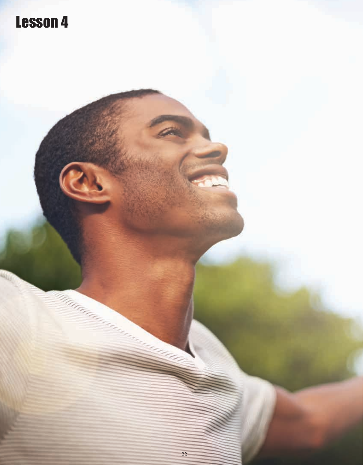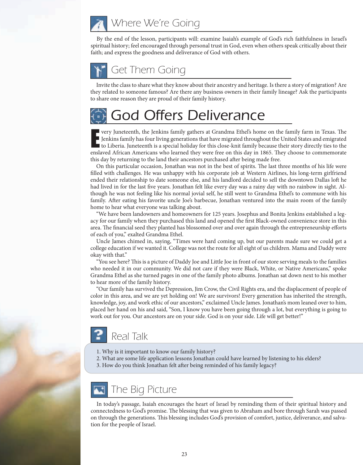

By the end of the lesson, participants will: examine Isaiah's example of God's rich faithfulness in Israel's spiritual history; feel encouraged through personal trust in God, even when others speak critically about their faith; and express the goodness and deliverance of God with others.



Invite the class to share what they know about their ancestry and heritage. Is there a story of migration? Are they related to someone famous? Are there any business owners in their family lineage? Ask the participants to share one reason they are proud of their family history.

# *God Offers Deliverance*

Friday Summar (Figure 2) wery Juneteenth, the Jenkins family gathers at Grandma Ethel's home on the family farm in Texas. The Jenkins family has four living generations that have migrated throughout the United States and e very Juneteenth, the Jenkins family gathers at Grandma Ethel's home on the family farm in Texas. The Jenkins family has four living generations that have migrated throughout the United States and emigrated to Liberia. Juneteenth is a special holiday for this close-knit family because their story directly ties to the this day by returning to the land their ancestors purchased after being made free.

On this particular occasion, Jonathan was not in the best of spirits. The last three months of his life were filled with challenges. He was unhappy with his corporate job at Western Airlines, his long-term girlfriend ended their relationship to date someone else, and his landlord decided to sell the downtown Dallas loft he had lived in for the last five years. Jonathan felt like every day was a rainy day with no rainbow in sight. Although he was not feeling like his normal jovial self, he still went to Grandma Ethel's to commune with his family. After eating his favorite uncle Joe's barbecue, Jonathan ventured into the main room of the family home to hear what everyone was talking about.

"We have been landowners and homeowners for 125 years. Josephus and Bonita Jenkins established a legacy for our family when they purchased this land and opened the first Black-owned convenience store in this area. The financial seed they planted has blossomed over and over again through the entrepreneurship efforts of each of you," exalted Grandma Ethel.

Uncle James chimed in, saying, "Times were hard coming up, but our parents made sure we could get a college education if we wanted it. College was not the route for all eight of us children. Mama and Daddy were okay with that."

"You see here? This is a picture of Daddy Joe and Little Joe in front of our store serving meals to the families who needed it in our community. We did not care if they were Black, White, or Native Americans," spoke Grandma Ethel as she turned pages in one of the family photo albums. Jonathan sat down next to his mother to hear more of the family history.

"Our family has survived the Depression, Jim Crow, the Civil Rights era, and the displacement of people of color in this area, and we are yet holding on! We are survivors! Every generation has inherited the strength, knowledge, joy, and work ethic of our ancestors," exclaimed Uncle James. Jonathan's mom leaned over to him, placed her hand on his and said, "Son, I know you have been going through a lot, but everything is going to work out for you. Our ancestors are on your side. God is on your side. Life will get better!"



- 1. Why is it important to know our family history?
- 2. What are some life application lessons Jonathan could have learned by listening to his elders?
- 3. How do you think Jonathan felt after being reminded of his family legacy?

## *The Big Picture*

In today's passage, Isaiah encourages the heart of Israel by reminding them of their spiritual history and connectedness to God's promise. The blessing that was given to Abraham and bore through Sarah was passed on through the generations. This blessing includes God's provision of comfort, justice, deliverance, and salvation for the people of Israel.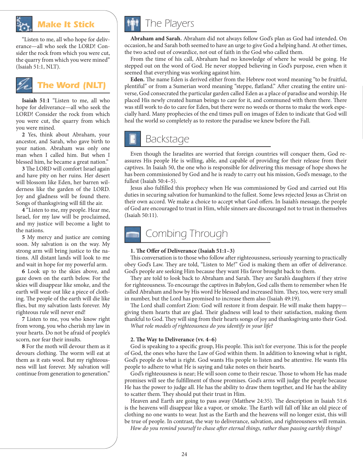

"Listen to me, all who hope for deliverance—all who seek the LORD! Consider the rock from which you were cut, the quarry from which you were mined" (Isaiah 51:1, NLT).



**Isaiah 51**:**1** "Listen to me, all who hope for deliverance—all who seek the LORD! Consider the rock from which you were cut, the quarry from which you were mined.

**2** Yes, think about Abraham, your ancestor, and Sarah, who gave birth to your nation. Abraham was only one man when I called him. But when I blessed him, he became a great nation."

**3** The LORD will comfort Israel again and have pity on her ruins. Her desert will blossom like Eden, her barren wilderness like the garden of the LORD. Joy and gladness will be found there. Songs of thanksgiving will fill the air.

**4** "Listen to me, my people. Hear me, Israel, for my law will be proclaimed, and my justice will become a light to the nations.

**5** My mercy and justice are coming soon. My salvation is on the way. My strong arm will bring justice to the nations. All distant lands will look to me and wait in hope for my powerful arm.

**6** Look up to the skies above, and gaze down on the earth below. For the skies will disappear like smoke, and the earth will wear out like a piece of clothing. The people of the earth will die like flies, but my salvation lasts forever. My righteous rule will never end!

**7** Listen to me, you who know right from wrong, you who cherish my law in your hearts. Do not be afraid of people's scorn, nor fear their insults.

**8** For the moth will devour them as it devours clothing. The worm will eat at them as it eats wool. But my righteousness will last forever. My salvation will continue from generation to generation."

### **Make It Stick Fight** The Players

**Abraham and Sarah.** Abraham did not always follow God's plan as God had intended. On occasion, he and Sarah both seemed to have an urge to give God a helping hand. At other times, the two acted out of cowardice, not out of faith in the God who called them.

From the time of his call, Abraham had no knowledge of where he would be going. He stepped out on the word of God. He never stopped believing in God's purpose, even when it seemed that everything was working against him.

**Eden.** The name Eden is derived either from the Hebrew root word meaning "to be fruitful, plentiful" or from a Sumerian word meaning "steppe, flatland." After creating the entire universe, God consecrated the particular garden called Eden as a place of paradise and worship. He placed His newly created human beings to care for it, and communed with them there. There was still work to do to care for Eden, but there were no weeds or thorns to make the work especially hard. Many prophecies of the end times pull on images of Eden to indicate that God will heal the world so completely as to restore the paradise we knew before the Fall.

## *Backstage*

Even though the Israelites are worried that foreign countries will conquer them, God reassures His people He is willing, able, and capable of providing for their release from their captives. In Isaiah 50, the one who is responsible for delivering this message of hope shows he has been commissioned by God and he is ready to carry out his mission, God's message, to the fullest (Isaiah 50:4–5).

Jesus also fulfilled this prophecy when He was commissioned by God and carried out His duties in securing salvation for humankind to the fullest. Some Jews rejected Jesus as Christ on their own accord. We make a choice to accept what God offers. In Isaiah's message, the people of God are encouraged to trust in Him, while sinners are discouraged not to trust in themselves (Isaiah 50:11).



#### **1. The Offer of Deliverance (Isaiah 51:1–3)**

This conversation is to those who follow after righteousness, seriously yearning to practically obey God's Law. They are told, "Listen to Me!" God is making them an offer of deliverance. God's people are seeking Him because they want His favor brought back to them.

They are told to look back to Abraham and Sarah. They are Sarah's daughters if they strive for righteousness. To encourage the captives in Babylon, God calls them to remember when He called Abraham and how by His word He blessed and increased him. They, too, were very small in number, but the Lord has promised to increase them also (Isaiah 49:19).

The Lord shall comfort Zion: God will restore it from despair. He will make them happy giving them hearts that are glad. Their gladness will lead to their satisfaction, making them thankful to God. They will sing from their hearts songs of joy and thanksgiving unto their God.

*What role models of righteousness do you identify in your life?*

#### **2. The Way to Deliverance (vv. 4–6)**

God is speaking to a specific group, His people. This isn't for everyone. This is for the people of God, the ones who have the Law of God within them. In addition to knowing what is right, God's people do what is right. God wants His people to listen and be attentive. He wants His people to adhere to what He is saying and take notes on their hearts.

God's righteousness is near; He will soon come to their rescue. Those to whom He has made promises will see the fulfillment of those promises. God's arms will judge the people because He has the power to judge all. He has the ability to draw them together, and He has the ability to scatter them. They should put their trust in Him.

Heaven and Earth are going to pass away (Matthew 24:35). The description in Isaiah 51:6 is the heavens will disappear like a vapor, or smoke. The Earth will fall off like an old piece of clothing no one wants to wear. Just as the Earth and the heavens will no longer exist, this will be true of people. In contrast, the way to deliverance, salvation, and righteousness will remain. *How do you remind yourself to chase after eternal things, rather than passing earthly things?*